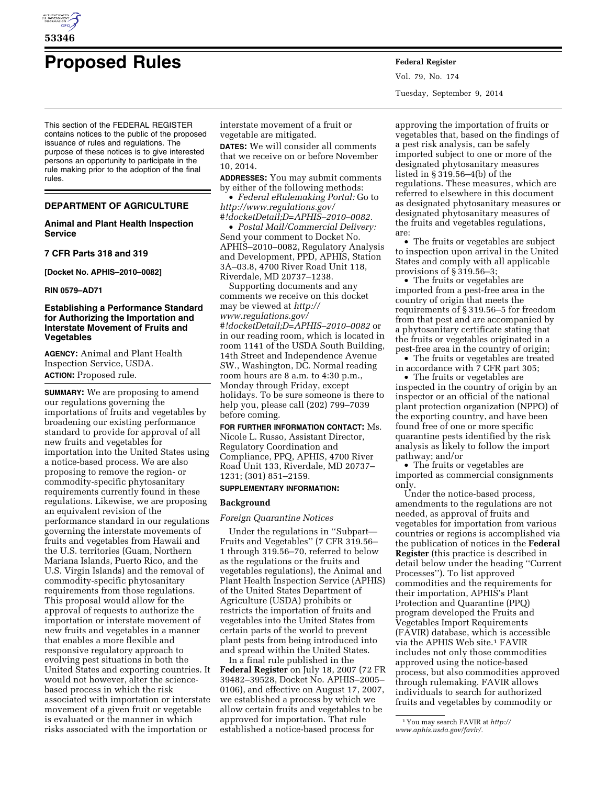

# **Proposed Rules Federal Register**

This section of the FEDERAL REGISTER contains notices to the public of the proposed issuance of rules and regulations. The purpose of these notices is to give interested persons an opportunity to participate in the rule making prior to the adoption of the final rules.

# **DEPARTMENT OF AGRICULTURE**

# **Animal and Plant Health Inspection Service**

**7 CFR Parts 318 and 319** 

**[Docket No. APHIS–2010–0082]** 

#### **RIN 0579–AD71**

# **Establishing a Performance Standard for Authorizing the Importation and Interstate Movement of Fruits and Vegetables**

**AGENCY:** Animal and Plant Health Inspection Service, USDA. **ACTION:** Proposed rule.

**SUMMARY:** We are proposing to amend our regulations governing the importations of fruits and vegetables by broadening our existing performance standard to provide for approval of all new fruits and vegetables for importation into the United States using a notice-based process. We are also proposing to remove the region- or commodity-specific phytosanitary requirements currently found in these regulations. Likewise, we are proposing an equivalent revision of the performance standard in our regulations governing the interstate movements of fruits and vegetables from Hawaii and the U.S. territories (Guam, Northern Mariana Islands, Puerto Rico, and the U.S. Virgin Islands) and the removal of commodity-specific phytosanitary requirements from those regulations. This proposal would allow for the approval of requests to authorize the importation or interstate movement of new fruits and vegetables in a manner that enables a more flexible and responsive regulatory approach to evolving pest situations in both the United States and exporting countries. It would not however, alter the sciencebased process in which the risk associated with importation or interstate movement of a given fruit or vegetable is evaluated or the manner in which risks associated with the importation or

interstate movement of a fruit or vegetable are mitigated.

**DATES:** We will consider all comments that we receive on or before November 10, 2014.

**ADDRESSES:** You may submit comments by either of the following methods:

• *Federal eRulemaking Portal:* Go to *[http://www.regulations.gov/](http://www.regulations.gov/#!docketDetail;D=APHIS-2010-0082) [#!docketDetail;D=APHIS–2010–0082.](http://www.regulations.gov/#!docketDetail;D=APHIS-2010-0082)* 

• *Postal Mail/Commercial Delivery:*  Send your comment to Docket No. APHIS–2010–0082, Regulatory Analysis and Development, PPD, APHIS, Station 3A–03.8, 4700 River Road Unit 118, Riverdale, MD 20737–1238.

Supporting documents and any comments we receive on this docket may be viewed at *[http://](http://www.regulations.gov/#!docketDetail;D=APHIS-2010-0082) [www.regulations.gov/](http://www.regulations.gov/#!docketDetail;D=APHIS-2010-0082) [#!docketDetail;D=APHIS–2010–0082](http://www.regulations.gov/#!docketDetail;D=APHIS-2010-0082)* or in our reading room, which is located in room 1141 of the USDA South Building, 14th Street and Independence Avenue SW., Washington, DC. Normal reading room hours are 8 a.m. to 4:30 p.m., Monday through Friday, except holidays. To be sure someone is there to help you, please call (202) 799–7039 before coming.

**FOR FURTHER INFORMATION CONTACT:** Ms. Nicole L. Russo, Assistant Director, Regulatory Coordination and Compliance, PPQ, APHIS, 4700 River Road Unit 133, Riverdale, MD 20737– 1231; (301) 851–2159.

#### **SUPPLEMENTARY INFORMATION:**

## **Background**

## *Foreign Quarantine Notices*

Under the regulations in ''Subpart— Fruits and Vegetables'' (7 CFR 319.56– 1 through 319.56–70, referred to below as the regulations or the fruits and vegetables regulations), the Animal and Plant Health Inspection Service (APHIS) of the United States Department of Agriculture (USDA) prohibits or restricts the importation of fruits and vegetables into the United States from certain parts of the world to prevent plant pests from being introduced into and spread within the United States.

In a final rule published in the **Federal Register** on July 18, 2007 (72 FR 39482–39528, Docket No. APHIS–2005– 0106), and effective on August 17, 2007, we established a process by which we allow certain fruits and vegetables to be approved for importation. That rule established a notice-based process for

Vol. 79, No. 174 Tuesday, September 9, 2014

approving the importation of fruits or vegetables that, based on the findings of a pest risk analysis, can be safely imported subject to one or more of the designated phytosanitary measures listed in § 319.56–4(b) of the regulations. These measures, which are referred to elsewhere in this document as designated phytosanitary measures or designated phytosanitary measures of the fruits and vegetables regulations, are:

• The fruits or vegetables are subject to inspection upon arrival in the United States and comply with all applicable provisions of § 319.56–3;

• The fruits or vegetables are imported from a pest-free area in the country of origin that meets the requirements of § 319.56–5 for freedom from that pest and are accompanied by a phytosanitary certificate stating that the fruits or vegetables originated in a pest-free area in the country of origin;

• The fruits or vegetables are treated in accordance with 7 CFR part 305;

• The fruits or vegetables are inspected in the country of origin by an inspector or an official of the national plant protection organization (NPPO) of the exporting country, and have been found free of one or more specific quarantine pests identified by the risk analysis as likely to follow the import pathway; and/or

• The fruits or vegetables are imported as commercial consignments only.

Under the notice-based process, amendments to the regulations are not needed, as approval of fruits and vegetables for importation from various countries or regions is accomplished via the publication of notices in the **Federal Register** (this practice is described in detail below under the heading ''Current Processes''). To list approved commodities and the requirements for their importation, APHIS's Plant Protection and Quarantine (PPQ) program developed the Fruits and Vegetables Import Requirements (FAVIR) database, which is accessible via the APHIS Web site.1 FAVIR includes not only those commodities approved using the notice-based process, but also commodities approved through rulemaking. FAVIR allows individuals to search for authorized fruits and vegetables by commodity or

<sup>1</sup> You may search FAVIR at *[http://](http://www.aphis.usda.gov/favir/)*

*[www.aphis.usda.gov/favir/.](http://www.aphis.usda.gov/favir/)*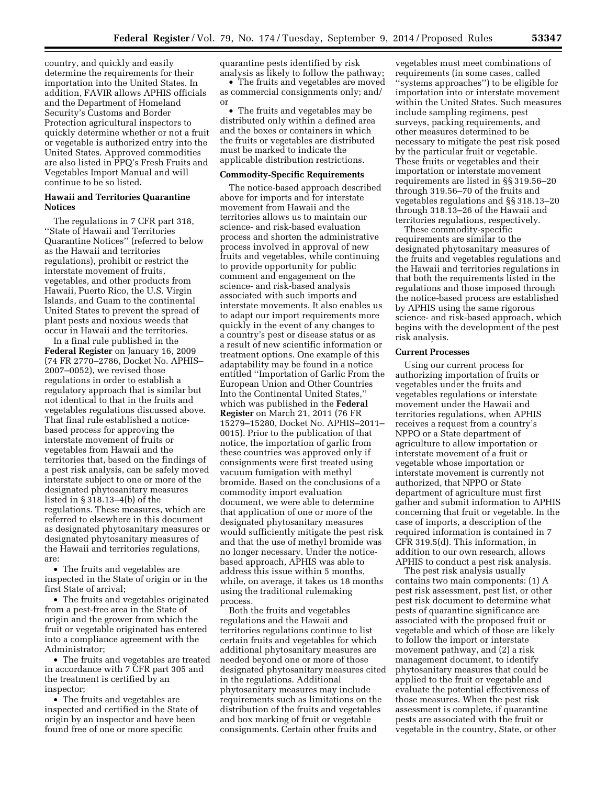country, and quickly and easily determine the requirements for their importation into the United States. In addition, FAVIR allows APHIS officials and the Department of Homeland Security's Customs and Border Protection agricultural inspectors to quickly determine whether or not a fruit or vegetable is authorized entry into the United States. Approved commodities are also listed in PPQ's Fresh Fruits and Vegetables Import Manual and will continue to be so listed.

# **Hawaii and Territories Quarantine Notices**

The regulations in 7 CFR part 318, ''State of Hawaii and Territories Quarantine Notices'' (referred to below as the Hawaii and territories regulations), prohibit or restrict the interstate movement of fruits, vegetables, and other products from Hawaii, Puerto Rico, the U.S. Virgin Islands, and Guam to the continental United States to prevent the spread of plant pests and noxious weeds that occur in Hawaii and the territories.

In a final rule published in the **Federal Register** on January 16, 2009 (74 FR 2770–2786, Docket No. APHIS– 2007–0052), we revised those regulations in order to establish a regulatory approach that is similar but not identical to that in the fruits and vegetables regulations discussed above. That final rule established a noticebased process for approving the interstate movement of fruits or vegetables from Hawaii and the territories that, based on the findings of a pest risk analysis, can be safely moved interstate subject to one or more of the designated phytosanitary measures listed in § 318.13–4(b) of the regulations. These measures, which are referred to elsewhere in this document as designated phytosanitary measures or designated phytosanitary measures of the Hawaii and territories regulations, are:

• The fruits and vegetables are inspected in the State of origin or in the first State of arrival;

• The fruits and vegetables originated from a pest-free area in the State of origin and the grower from which the fruit or vegetable originated has entered into a compliance agreement with the Administrator;

• The fruits and vegetables are treated in accordance with 7 CFR part 305 and the treatment is certified by an inspector;

• The fruits and vegetables are inspected and certified in the State of origin by an inspector and have been found free of one or more specific

quarantine pests identified by risk analysis as likely to follow the pathway;

• The fruits and vegetables are moved as commercial consignments only; and/ or

• The fruits and vegetables may be distributed only within a defined area and the boxes or containers in which the fruits or vegetables are distributed must be marked to indicate the applicable distribution restrictions.

## **Commodity-Specific Requirements**

The notice-based approach described above for imports and for interstate movement from Hawaii and the territories allows us to maintain our science- and risk-based evaluation process and shorten the administrative process involved in approval of new fruits and vegetables, while continuing to provide opportunity for public comment and engagement on the science- and risk-based analysis associated with such imports and interstate movements. It also enables us to adapt our import requirements more quickly in the event of any changes to a country's pest or disease status or as a result of new scientific information or treatment options. One example of this adaptability may be found in a notice entitled ''Importation of Garlic From the European Union and Other Countries Into the Continental United States,'' which was published in the **Federal Register** on March 21, 2011 (76 FR 15279–15280, Docket No. APHIS–2011– 0015). Prior to the publication of that notice, the importation of garlic from these countries was approved only if consignments were first treated using vacuum fumigation with methyl bromide. Based on the conclusions of a commodity import evaluation document, we were able to determine that application of one or more of the designated phytosanitary measures would sufficiently mitigate the pest risk and that the use of methyl bromide was no longer necessary. Under the noticebased approach, APHIS was able to address this issue within 5 months, while, on average, it takes us 18 months using the traditional rulemaking process.

Both the fruits and vegetables regulations and the Hawaii and territories regulations continue to list certain fruits and vegetables for which additional phytosanitary measures are needed beyond one or more of those designated phytosanitary measures cited in the regulations. Additional phytosanitary measures may include requirements such as limitations on the distribution of the fruits and vegetables and box marking of fruit or vegetable consignments. Certain other fruits and

vegetables must meet combinations of requirements (in some cases, called ''systems approaches'') to be eligible for importation into or interstate movement within the United States. Such measures include sampling regimens, pest surveys, packing requirements, and other measures determined to be necessary to mitigate the pest risk posed by the particular fruit or vegetable. These fruits or vegetables and their importation or interstate movement requirements are listed in §§ 319.56–20 through 319.56–70 of the fruits and vegetables regulations and §§ 318.13–20 through 318.13–26 of the Hawaii and territories regulations, respectively.

These commodity-specific requirements are similar to the designated phytosanitary measures of the fruits and vegetables regulations and the Hawaii and territories regulations in that both the requirements listed in the regulations and those imposed through the notice-based process are established by APHIS using the same rigorous science- and risk-based approach, which begins with the development of the pest risk analysis.

## **Current Processes**

Using our current process for authorizing importation of fruits or vegetables under the fruits and vegetables regulations or interstate movement under the Hawaii and territories regulations, when APHIS receives a request from a country's NPPO or a State department of agriculture to allow importation or interstate movement of a fruit or vegetable whose importation or interstate movement is currently not authorized, that NPPO or State department of agriculture must first gather and submit information to APHIS concerning that fruit or vegetable. In the case of imports, a description of the required information is contained in 7 CFR 319.5(d). This information, in addition to our own research, allows APHIS to conduct a pest risk analysis.

The pest risk analysis usually contains two main components: (1) A pest risk assessment, pest list, or other pest risk document to determine what pests of quarantine significance are associated with the proposed fruit or vegetable and which of those are likely to follow the import or interstate movement pathway, and (2) a risk management document, to identify phytosanitary measures that could be applied to the fruit or vegetable and evaluate the potential effectiveness of those measures. When the pest risk assessment is complete, if quarantine pests are associated with the fruit or vegetable in the country, State, or other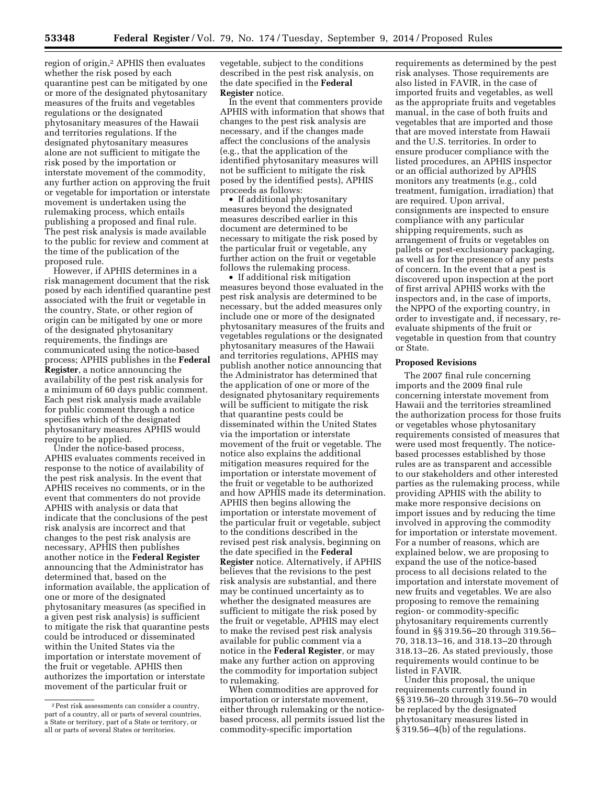region of origin,<sup>2</sup> APHIS then evaluates whether the risk posed by each quarantine pest can be mitigated by one or more of the designated phytosanitary measures of the fruits and vegetables regulations or the designated phytosanitary measures of the Hawaii and territories regulations. If the designated phytosanitary measures alone are not sufficient to mitigate the risk posed by the importation or interstate movement of the commodity, any further action on approving the fruit or vegetable for importation or interstate movement is undertaken using the rulemaking process, which entails publishing a proposed and final rule. The pest risk analysis is made available to the public for review and comment at the time of the publication of the proposed rule.

However, if APHIS determines in a risk management document that the risk posed by each identified quarantine pest associated with the fruit or vegetable in the country, State, or other region of origin can be mitigated by one or more of the designated phytosanitary requirements, the findings are communicated using the notice-based process; APHIS publishes in the **Federal Register**, a notice announcing the availability of the pest risk analysis for a minimum of 60 days public comment. Each pest risk analysis made available for public comment through a notice specifies which of the designated phytosanitary measures APHIS would require to be applied.

Under the notice-based process, APHIS evaluates comments received in response to the notice of availability of the pest risk analysis. In the event that APHIS receives no comments, or in the event that commenters do not provide APHIS with analysis or data that indicate that the conclusions of the pest risk analysis are incorrect and that changes to the pest risk analysis are necessary, APHIS then publishes another notice in the **Federal Register**  announcing that the Administrator has determined that, based on the information available, the application of one or more of the designated phytosanitary measures (as specified in a given pest risk analysis) is sufficient to mitigate the risk that quarantine pests could be introduced or disseminated within the United States via the importation or interstate movement of the fruit or vegetable. APHIS then authorizes the importation or interstate movement of the particular fruit or

vegetable, subject to the conditions described in the pest risk analysis, on the date specified in the **Federal Register** notice.

In the event that commenters provide APHIS with information that shows that changes to the pest risk analysis are necessary, and if the changes made affect the conclusions of the analysis (e.g., that the application of the identified phytosanitary measures will not be sufficient to mitigate the risk posed by the identified pests), APHIS proceeds as follows:

• If additional phytosanitary measures beyond the designated measures described earlier in this document are determined to be necessary to mitigate the risk posed by the particular fruit or vegetable, any further action on the fruit or vegetable follows the rulemaking process.

• If additional risk mitigation measures beyond those evaluated in the pest risk analysis are determined to be necessary, but the added measures only include one or more of the designated phytosanitary measures of the fruits and vegetables regulations or the designated phytosanitary measures of the Hawaii and territories regulations, APHIS may publish another notice announcing that the Administrator has determined that the application of one or more of the designated phytosanitary requirements will be sufficient to mitigate the risk that quarantine pests could be disseminated within the United States via the importation or interstate movement of the fruit or vegetable. The notice also explains the additional mitigation measures required for the importation or interstate movement of the fruit or vegetable to be authorized and how APHIS made its determination. APHIS then begins allowing the importation or interstate movement of the particular fruit or vegetable, subject to the conditions described in the revised pest risk analysis, beginning on the date specified in the **Federal Register** notice. Alternatively, if APHIS believes that the revisions to the pest risk analysis are substantial, and there may be continued uncertainty as to whether the designated measures are sufficient to mitigate the risk posed by the fruit or vegetable, APHIS may elect to make the revised pest risk analysis available for public comment via a notice in the **Federal Register**, or may make any further action on approving the commodity for importation subject to rulemaking.

When commodities are approved for importation or interstate movement, either through rulemaking or the noticebased process, all permits issued list the commodity-specific importation

requirements as determined by the pest risk analyses. Those requirements are also listed in FAVIR, in the case of imported fruits and vegetables, as well as the appropriate fruits and vegetables manual, in the case of both fruits and vegetables that are imported and those that are moved interstate from Hawaii and the U.S. territories. In order to ensure producer compliance with the listed procedures, an APHIS inspector or an official authorized by APHIS monitors any treatments (e.g., cold treatment, fumigation, irradiation) that are required. Upon arrival, consignments are inspected to ensure compliance with any particular shipping requirements, such as arrangement of fruits or vegetables on pallets or pest-exclusionary packaging, as well as for the presence of any pests of concern. In the event that a pest is discovered upon inspection at the port of first arrival APHIS works with the inspectors and, in the case of imports, the NPPO of the exporting country, in order to investigate and, if necessary, reevaluate shipments of the fruit or vegetable in question from that country or State.

#### **Proposed Revisions**

The 2007 final rule concerning imports and the 2009 final rule concerning interstate movement from Hawaii and the territories streamlined the authorization process for those fruits or vegetables whose phytosanitary requirements consisted of measures that were used most frequently. The noticebased processes established by those rules are as transparent and accessible to our stakeholders and other interested parties as the rulemaking process, while providing APHIS with the ability to make more responsive decisions on import issues and by reducing the time involved in approving the commodity for importation or interstate movement. For a number of reasons, which are explained below, we are proposing to expand the use of the notice-based process to all decisions related to the importation and interstate movement of new fruits and vegetables. We are also proposing to remove the remaining region- or commodity-specific phytosanitary requirements currently found in §§ 319.56–20 through 319.56– 70, 318.13–16, and 318.13–20 through 318.13–26. As stated previously, those requirements would continue to be listed in FAVIR.

Under this proposal, the unique requirements currently found in §§ 319.56–20 through 319.56–70 would be replaced by the designated phytosanitary measures listed in § 319.56–4(b) of the regulations.

<sup>2</sup>Pest risk assessments can consider a country, part of a country, all or parts of several countries, a State or territory, part of a State or territory, or all or parts of several States or territories.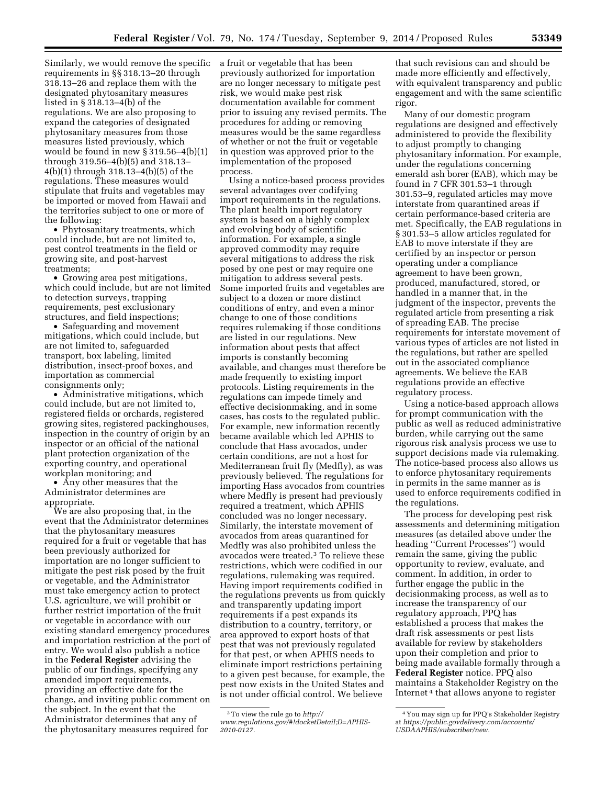Similarly, we would remove the specific a fruit or vegetable that has been requirements in §§ 318.13–20 through 318.13–26 and replace them with the designated phytosanitary measures listed in § 318.13–4(b) of the regulations. We are also proposing to expand the categories of designated phytosanitary measures from those measures listed previously, which would be found in new  $\S 319.56-4(b)(1)$ through 319.56–4(b)(5) and 318.13– 4(b)(1) through 318.13–4(b)(5) of the regulations. These measures would stipulate that fruits and vegetables may be imported or moved from Hawaii and the territories subject to one or more of the following:

• Phytosanitary treatments, which could include, but are not limited to, pest control treatments in the field or growing site, and post-harvest treatments;

• Growing area pest mitigations, which could include, but are not limited to detection surveys, trapping requirements, pest exclusionary structures, and field inspections;

• Safeguarding and movement mitigations, which could include, but are not limited to, safeguarded transport, box labeling, limited distribution, insect-proof boxes, and importation as commercial consignments only;

• Administrative mitigations, which could include, but are not limited to, registered fields or orchards, registered growing sites, registered packinghouses, inspection in the country of origin by an inspector or an official of the national plant protection organization of the exporting country, and operational workplan monitoring; and

• Any other measures that the Administrator determines are appropriate.

We are also proposing that, in the event that the Administrator determines that the phytosanitary measures required for a fruit or vegetable that has been previously authorized for importation are no longer sufficient to mitigate the pest risk posed by the fruit or vegetable, and the Administrator must take emergency action to protect U.S. agriculture, we will prohibit or further restrict importation of the fruit or vegetable in accordance with our existing standard emergency procedures and importation restriction at the port of entry. We would also publish a notice in the **Federal Register** advising the public of our findings, specifying any amended import requirements, providing an effective date for the change, and inviting public comment on the subject. In the event that the Administrator determines that any of the phytosanitary measures required for

previously authorized for importation are no longer necessary to mitigate pest risk, we would make pest risk documentation available for comment prior to issuing any revised permits. The procedures for adding or removing measures would be the same regardless of whether or not the fruit or vegetable in question was approved prior to the implementation of the proposed process.

Using a notice-based process provides several advantages over codifying import requirements in the regulations. The plant health import regulatory system is based on a highly complex and evolving body of scientific information. For example, a single approved commodity may require several mitigations to address the risk posed by one pest or may require one mitigation to address several pests. Some imported fruits and vegetables are subject to a dozen or more distinct conditions of entry, and even a minor change to one of those conditions requires rulemaking if those conditions are listed in our regulations. New information about pests that affect imports is constantly becoming available, and changes must therefore be made frequently to existing import protocols. Listing requirements in the regulations can impede timely and effective decisionmaking, and in some cases, has costs to the regulated public. For example, new information recently became available which led APHIS to conclude that Hass avocados, under certain conditions, are not a host for Mediterranean fruit fly (Medfly), as was previously believed. The regulations for importing Hass avocados from countries where Medfly is present had previously required a treatment, which APHIS concluded was no longer necessary. Similarly, the interstate movement of avocados from areas quarantined for Medfly was also prohibited unless the avocados were treated.3 To relieve these restrictions, which were codified in our regulations, rulemaking was required. Having import requirements codified in the regulations prevents us from quickly and transparently updating import requirements if a pest expands its distribution to a country, territory, or area approved to export hosts of that pest that was not previously regulated for that pest, or when APHIS needs to eliminate import restrictions pertaining to a given pest because, for example, the pest now exists in the United States and is not under official control. We believe

that such revisions can and should be made more efficiently and effectively, with equivalent transparency and public engagement and with the same scientific rigor.

Many of our domestic program regulations are designed and effectively administered to provide the flexibility to adjust promptly to changing phytosanitary information. For example, under the regulations concerning emerald ash borer (EAB), which may be found in 7 CFR 301.53–1 through 301.53–9, regulated articles may move interstate from quarantined areas if certain performance-based criteria are met. Specifically, the EAB regulations in § 301.53–5 allow articles regulated for EAB to move interstate if they are certified by an inspector or person operating under a compliance agreement to have been grown, produced, manufactured, stored, or handled in a manner that, in the judgment of the inspector, prevents the regulated article from presenting a risk of spreading EAB. The precise requirements for interstate movement of various types of articles are not listed in the regulations, but rather are spelled out in the associated compliance agreements. We believe the EAB regulations provide an effective regulatory process.

Using a notice-based approach allows for prompt communication with the public as well as reduced administrative burden, while carrying out the same rigorous risk analysis process we use to support decisions made via rulemaking. The notice-based process also allows us to enforce phytosanitary requirements in permits in the same manner as is used to enforce requirements codified in the regulations.

The process for developing pest risk assessments and determining mitigation measures (as detailed above under the heading ''Current Processes'') would remain the same, giving the public opportunity to review, evaluate, and comment. In addition, in order to further engage the public in the decisionmaking process, as well as to increase the transparency of our regulatory approach, PPQ has established a process that makes the draft risk assessments or pest lists available for review by stakeholders upon their completion and prior to being made available formally through a **Federal Register** notice. PPQ also maintains a Stakeholder Registry on the Internet 4 that allows anyone to register

<sup>3</sup>To view the rule go to *[http://](http://www.regulations.gov/#!docketDetail;D=APHIS-2010-0127) [www.regulations.gov/#!docketDetail;D=APHIS-](http://www.regulations.gov/#!docketDetail;D=APHIS-2010-0127)[2010-0127.](http://www.regulations.gov/#!docketDetail;D=APHIS-2010-0127)* 

<sup>4</sup> You may sign up for PPQ's Stakeholder Registry at *[https://public.govdelivery.com/accounts/](https://public.govdelivery.com/accounts/USDAAPHIS/subscriber/new) [USDAAPHIS/subscriber/new.](https://public.govdelivery.com/accounts/USDAAPHIS/subscriber/new)*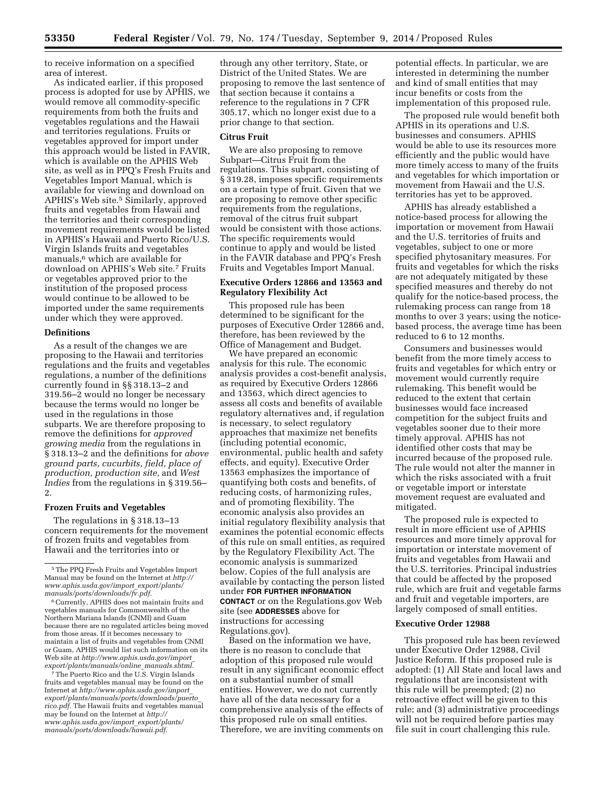to receive information on a specified area of interest.

As indicated earlier, if this proposed process is adopted for use by APHIS, we would remove all commodity-specific requirements from both the fruits and vegetables regulations and the Hawaii and territories regulations. Fruits or vegetables approved for import under this approach would be listed in FAVIR, which is available on the APHIS Web site, as well as in PPQ's Fresh Fruits and Vegetables Import Manual, which is available for viewing and download on APHIS's Web site.<sup>5</sup> Similarly, approved fruits and vegetables from Hawaii and the territories and their corresponding movement requirements would be listed in APHIS's Hawaii and Puerto Rico/U.S. Virgin Islands fruits and vegetables manuals,<sup>6</sup> which are available for download on APHIS's Web site.7 Fruits or vegetables approved prior to the institution of the proposed process would continue to be allowed to be imported under the same requirements under which they were approved.

#### **Definitions**

As a result of the changes we are proposing to the Hawaii and territories regulations and the fruits and vegetables regulations, a number of the definitions currently found in §§ 318.13–2 and 319.56–2 would no longer be necessary because the terms would no longer be used in the regulations in those subparts. We are therefore proposing to remove the definitions for *approved growing media* from the regulations in § 318.13–2 and the definitions for *above ground parts, cucurbits, field, place of production, production site,* and *West Indies* from the regulations in § 319.56– 2.

#### **Frozen Fruits and Vegetables**

The regulations in § 318.13–13 concern requirements for the movement of frozen fruits and vegetables from Hawaii and the territories into or

7The Puerto Rico and the U.S. Virgin Islands fruits and vegetables manual may be found on the Internet at *[http://www.aphis.usda.gov/import](http://www.aphis.usda.gov/import_export/plants/manuals/ports/downloads/puerto_rico.pdf)*\_ *[export/plants/manuals/ports/downloads/puerto](http://www.aphis.usda.gov/import_export/plants/manuals/ports/downloads/puerto_rico.pdf)*\_ *[rico.pdf.](http://www.aphis.usda.gov/import_export/plants/manuals/ports/downloads/puerto_rico.pdf)* The Hawaii fruits and vegetables manual may be found on the Internet at *[http://](http://www.aphis.usda.gov/import_export/plants/manuals/ports/downloads/hawaii.pdf) [www.aphis.usda.gov/import](http://www.aphis.usda.gov/import_export/plants/manuals/ports/downloads/hawaii.pdf)*\_*export/plants/ [manuals/ports/downloads/hawaii.pdf.](http://www.aphis.usda.gov/import_export/plants/manuals/ports/downloads/hawaii.pdf)* 

through any other territory, State, or District of the United States. We are proposing to remove the last sentence of that section because it contains a reference to the regulations in 7 CFR 305.17, which no longer exist due to a prior change to that section.

## **Citrus Fruit**

We are also proposing to remove Subpart—Citrus Fruit from the regulations. This subpart, consisting of § 319.28, imposes specific requirements on a certain type of fruit. Given that we are proposing to remove other specific requirements from the regulations, removal of the citrus fruit subpart would be consistent with those actions. The specific requirements would continue to apply and would be listed in the FAVIR database and PPQ's Fresh Fruits and Vegetables Import Manual.

# **Executive Orders 12866 and 13563 and Regulatory Flexibility Act**

This proposed rule has been determined to be significant for the purposes of Executive Order 12866 and, therefore, has been reviewed by the Office of Management and Budget.

We have prepared an economic analysis for this rule. The economic analysis provides a cost-benefit analysis, as required by Executive Orders 12866 and 13563, which direct agencies to assess all costs and benefits of available regulatory alternatives and, if regulation is necessary, to select regulatory approaches that maximize net benefits (including potential economic, environmental, public health and safety effects, and equity). Executive Order 13563 emphasizes the importance of quantifying both costs and benefits, of reducing costs, of harmonizing rules, and of promoting flexibility. The economic analysis also provides an initial regulatory flexibility analysis that examines the potential economic effects of this rule on small entities, as required by the Regulatory Flexibility Act. The economic analysis is summarized below. Copies of the full analysis are available by contacting the person listed under **FOR FURTHER INFORMATION CONTACT** or on the Regulations.gov Web site (see **ADDRESSES** above for instructions for accessing Regulations.gov).

Based on the information we have, there is no reason to conclude that adoption of this proposed rule would result in any significant economic effect on a substantial number of small entities. However, we do not currently have all of the data necessary for a comprehensive analysis of the effects of this proposed rule on small entities. Therefore, we are inviting comments on

potential effects. In particular, we are interested in determining the number and kind of small entities that may incur benefits or costs from the implementation of this proposed rule.

The proposed rule would benefit both APHIS in its operations and U.S. businesses and consumers. APHIS would be able to use its resources more efficiently and the public would have more timely access to many of the fruits and vegetables for which importation or movement from Hawaii and the U.S. territories has yet to be approved.

APHIS has already established a notice-based process for allowing the importation or movement from Hawaii and the U.S. territories of fruits and vegetables, subject to one or more specified phytosanitary measures. For fruits and vegetables for which the risks are not adequately mitigated by these specified measures and thereby do not qualify for the notice-based process, the rulemaking process can range from 18 months to over 3 years; using the noticebased process, the average time has been reduced to 6 to 12 months.

Consumers and businesses would benefit from the more timely access to fruits and vegetables for which entry or movement would currently require rulemaking. This benefit would be reduced to the extent that certain businesses would face increased competition for the subject fruits and vegetables sooner due to their more timely approval. APHIS has not identified other costs that may be incurred because of the proposed rule. The rule would not alter the manner in which the risks associated with a fruit or vegetable import or interstate movement request are evaluated and mitigated.

The proposed rule is expected to result in more efficient use of APHIS resources and more timely approval for importation or interstate movement of fruits and vegetables from Hawaii and the U.S. territories. Principal industries that could be affected by the proposed rule, which are fruit and vegetable farms and fruit and vegetable importers, are largely composed of small entities.

#### **Executive Order 12988**

This proposed rule has been reviewed under Executive Order 12988, Civil Justice Reform. If this proposed rule is adopted: (1) All State and local laws and regulations that are inconsistent with this rule will be preempted; (2) no retroactive effect will be given to this rule; and (3) administrative proceedings will not be required before parties may file suit in court challenging this rule.

<sup>5</sup>The PPQ Fresh Fruits and Vegetables Import Manual may be found on the Internet at *[http://](http://www.aphis.usda.gov/import_export/plants/manuals/ports/downloads/fv.pdf) [www.aphis.usda.gov/import](http://www.aphis.usda.gov/import_export/plants/manuals/ports/downloads/fv.pdf)*\_*export/plants/ [manuals/ports/downloads/fv.pdf.](http://www.aphis.usda.gov/import_export/plants/manuals/ports/downloads/fv.pdf)* 

<sup>6</sup>Currently, APHIS does not maintain fruits and vegetables manuals for Commonwealth of the Northern Mariana Islands (CNMI) and Guam because there are no regulated articles being moved from those areas. If it becomes necessary to maintain a list of fruits and vegetables from CNMI or Guam, APHIS would list such information on its Web site at *[http://www.aphis.usda.gov/import](http://www.aphis.usda.gov/import_export/plants/manuals/online_manuals.shtml)*\_ *[export/plants/manuals/online](http://www.aphis.usda.gov/import_export/plants/manuals/online_manuals.shtml)*\_*manuals.shtml.*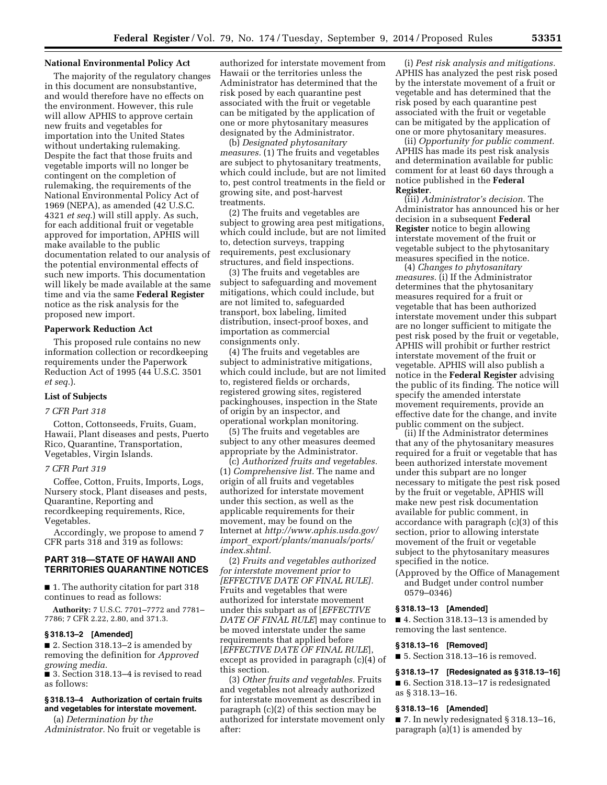#### **National Environmental Policy Act**

The majority of the regulatory changes in this document are nonsubstantive, and would therefore have no effects on the environment. However, this rule will allow APHIS to approve certain new fruits and vegetables for importation into the United States without undertaking rulemaking. Despite the fact that those fruits and vegetable imports will no longer be contingent on the completion of rulemaking, the requirements of the National Environmental Policy Act of 1969 (NEPA), as amended (42 U.S.C. 4321 *et seq.*) will still apply. As such, for each additional fruit or vegetable approved for importation, APHIS will make available to the public documentation related to our analysis of the potential environmental effects of such new imports. This documentation will likely be made available at the same time and via the same **Federal Register**  notice as the risk analysis for the proposed new import.

#### **Paperwork Reduction Act**

This proposed rule contains no new information collection or recordkeeping requirements under the Paperwork Reduction Act of 1995 (44 U.S.C. 3501 *et seq.*).

### **List of Subjects**

#### *7 CFR Part 318*

Cotton, Cottonseeds, Fruits, Guam, Hawaii, Plant diseases and pests, Puerto Rico, Quarantine, Transportation, Vegetables, Virgin Islands.

## *7 CFR Part 319*

Coffee, Cotton, Fruits, Imports, Logs, Nursery stock, Plant diseases and pests, Quarantine, Reporting and recordkeeping requirements, Rice, Vegetables.

Accordingly, we propose to amend 7 CFR parts 318 and 319 as follows:

# **PART 318—STATE OF HAWAII AND TERRITORIES QUARANTINE NOTICES**

■ 1. The authority citation for part 318 continues to read as follows:

**Authority:** 7 U.S.C. 7701–7772 and 7781– 7786; 7 CFR 2.22, 2.80, and 371.3.

#### **§ 318.13–2 [Amended]**

■ 2. Section 318.13–2 is amended by removing the definition for *Approved growing media.* 

■ 3. Section 318.13–4 is revised to read as follows:

## **§ 318.13–4 Authorization of certain fruits and vegetables for interstate movement.**

(a) *Determination by the* 

*Administrator.* No fruit or vegetable is

authorized for interstate movement from Hawaii or the territories unless the Administrator has determined that the risk posed by each quarantine pest associated with the fruit or vegetable can be mitigated by the application of one or more phytosanitary measures designated by the Administrator.

(b) *Designated phytosanitary measures.* (1) The fruits and vegetables are subject to phytosanitary treatments, which could include, but are not limited to, pest control treatments in the field or growing site, and post-harvest treatments.

(2) The fruits and vegetables are subject to growing area pest mitigations, which could include, but are not limited to, detection surveys, trapping requirements, pest exclusionary structures, and field inspections.

(3) The fruits and vegetables are subject to safeguarding and movement mitigations, which could include, but are not limited to, safeguarded transport, box labeling, limited distribution, insect-proof boxes, and importation as commercial consignments only.

(4) The fruits and vegetables are subject to administrative mitigations, which could include, but are not limited to, registered fields or orchards, registered growing sites, registered packinghouses, inspection in the State of origin by an inspector, and operational workplan monitoring.

(5) The fruits and vegetables are subject to any other measures deemed appropriate by the Administrator.

(c) *Authorized fruits and vegetables.*  (1) *Comprehensive list.* The name and origin of all fruits and vegetables authorized for interstate movement under this section, as well as the applicable requirements for their movement, may be found on the Internet at *[http://www.aphis.usda.gov/](http://www.aphis.usda.gov/import_export/plants/manuals/ports/index.shtml)  import*\_*[export/plants/manuals/ports/](http://www.aphis.usda.gov/import_export/plants/manuals/ports/index.shtml)  [index.shtml.](http://www.aphis.usda.gov/import_export/plants/manuals/ports/index.shtml)* 

(2) *Fruits and vegetables authorized for interstate movement prior to [EFFECTIVE DATE OF FINAL RULE].*  Fruits and vegetables that were authorized for interstate movement under this subpart as of [*EFFECTIVE DATE OF FINAL RULE*] may continue to be moved interstate under the same requirements that applied before [*EFFECTIVE DATE OF FINAL RULE*], except as provided in paragraph (c)(4) of this section.

(3) *Other fruits and vegetables.* Fruits and vegetables not already authorized for interstate movement as described in paragraph (c)(2) of this section may be authorized for interstate movement only after:

(i) *Pest risk analysis and mitigations.*  APHIS has analyzed the pest risk posed by the interstate movement of a fruit or vegetable and has determined that the risk posed by each quarantine pest associated with the fruit or vegetable can be mitigated by the application of one or more phytosanitary measures.

(ii) *Opportunity for public comment.*  APHIS has made its pest risk analysis and determination available for public comment for at least 60 days through a notice published in the **Federal Register**.

(iii) *Administrator's decision.* The Administrator has announced his or her decision in a subsequent **Federal Register** notice to begin allowing interstate movement of the fruit or vegetable subject to the phytosanitary measures specified in the notice.

(4) *Changes to phytosanitary measures.* (i) If the Administrator determines that the phytosanitary measures required for a fruit or vegetable that has been authorized interstate movement under this subpart are no longer sufficient to mitigate the pest risk posed by the fruit or vegetable, APHIS will prohibit or further restrict interstate movement of the fruit or vegetable. APHIS will also publish a notice in the **Federal Register** advising the public of its finding. The notice will specify the amended interstate movement requirements, provide an effective date for the change, and invite public comment on the subject.

(ii) If the Administrator determines that any of the phytosanitary measures required for a fruit or vegetable that has been authorized interstate movement under this subpart are no longer necessary to mitigate the pest risk posed by the fruit or vegetable, APHIS will make new pest risk documentation available for public comment, in accordance with paragraph (c)(3) of this section, prior to allowing interstate movement of the fruit or vegetable subject to the phytosanitary measures specified in the notice.

(Approved by the Office of Management and Budget under control number 0579–0346)

#### **§ 318.13–13 [Amended]**

■ 4. Section 318.13–13 is amended by removing the last sentence.

#### **§ 318.13–16 [Removed]**

■ 5. Section 318.13–16 is removed.

#### **§ 318.13–17 [Redesignated as § 318.13–16]**

■ 6. Section 318.13–17 is redesignated as § 318.13–16.

## **§ 318.13–16 [Amended]**

■ 7. In newly redesignated § 318.13–16, paragraph (a)(1) is amended by